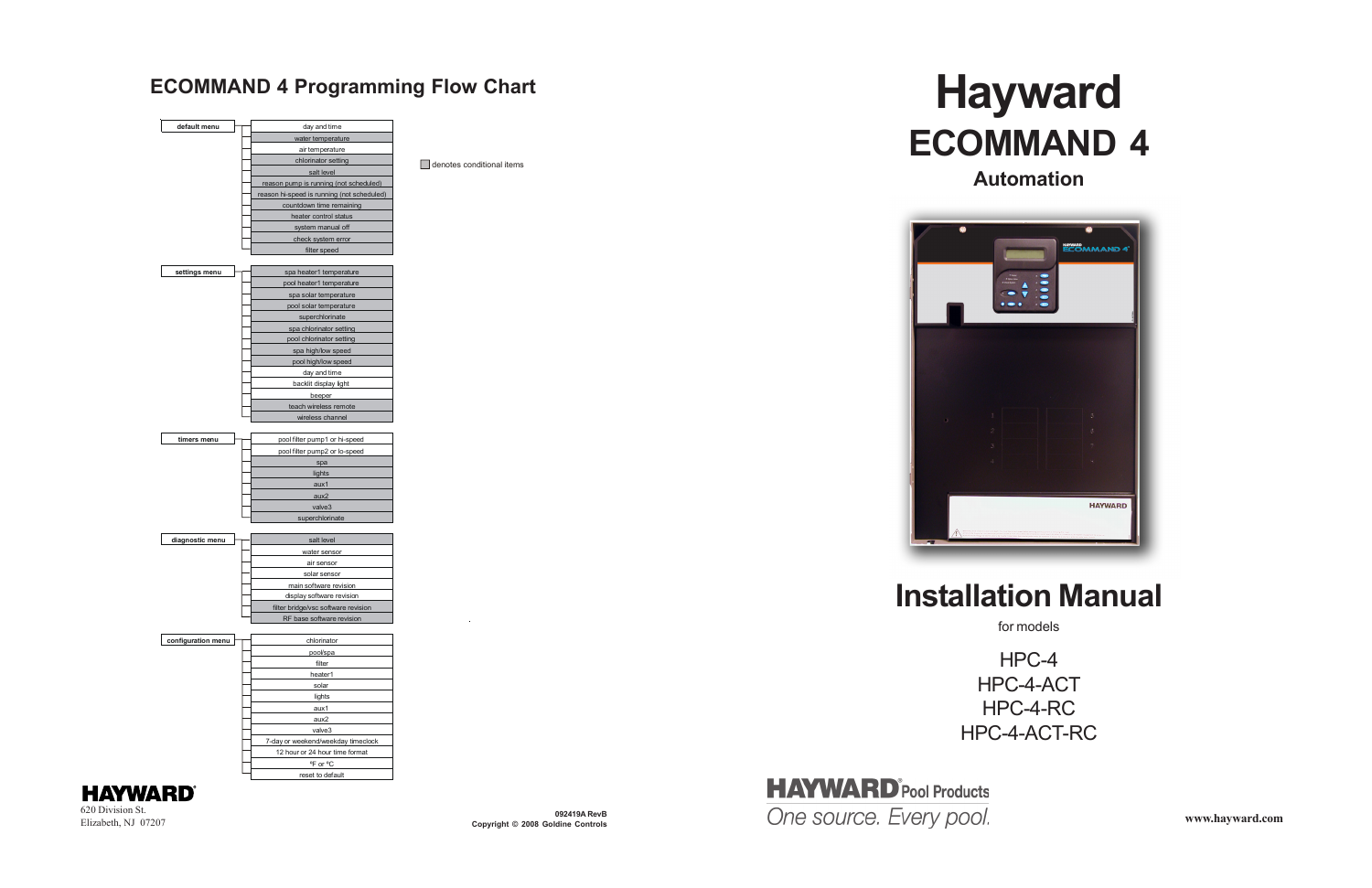# **ECOMMAND 4 Automation**

## **Installation Manual**

HPC-4 HPC-4-ACT HPC-4-RC HPC-4-ACT-RC

**HAYWARD®** 620 Division St. Elizabeth, NJ 07207

denotes conditional items







**Copyright © 2008 Goldine Controls**

# ECOMMAND 4 Programming Flow Chart **Hayward**



for models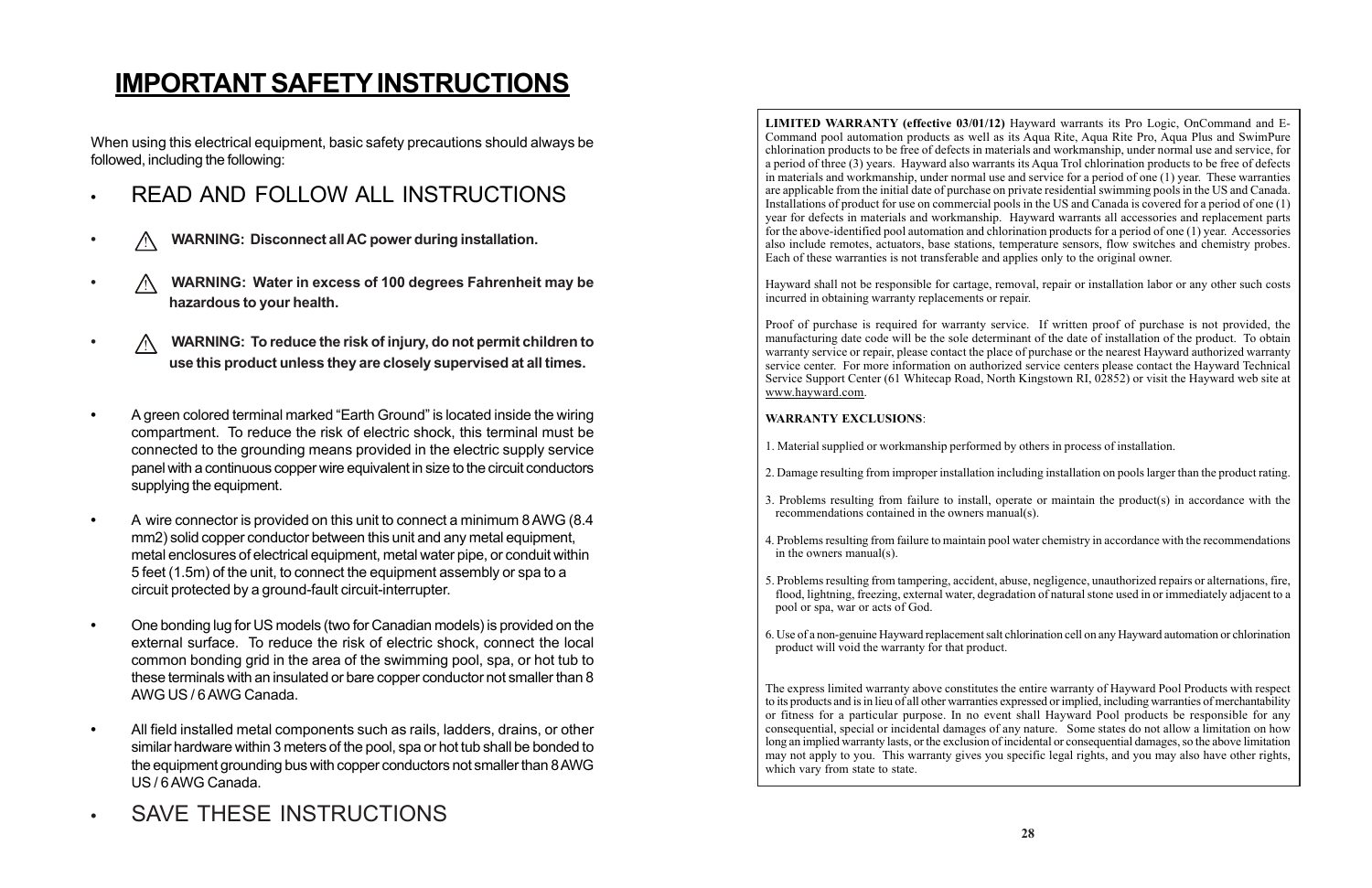## **IMPORTANT SAFETY INSTRUCTIONS**

When using this electrical equipment, basic safety precautions should always be followed, including the following:

- **•** READ AND FOLLOW ALL INSTRUCTIONS
- **•** ! **WARNING: Disconnect all AC power during installation.**
- **•** ! **WARNING: Water in excess of 100 degrees Fahrenheit may be hazardous to your health.**
- **•** ! **WARNING: To reduce the risk of injury, do not permit children to use this product unless they are closely supervised at all times.**
- **•** A green colored terminal marked "Earth Ground" is located inside the wiring compartment. To reduce the risk of electric shock, this terminal must be connected to the grounding means provided in the electric supply service panel with a continuous copper wire equivalent in size to the circuit conductors supplying the equipment.
- **•** A wire connector is provided on this unit to connect a minimum 8 AWG (8.4 mm2) solid copper conductor between this unit and any metal equipment, metal enclosures of electrical equipment, metal water pipe, or conduit within 5 feet (1.5m) of the unit, to connect the equipment assembly or spa to a circuit protected by a ground-fault circuit-interrupter.
- **•** One bonding lug for US models (two for Canadian models) is provided on the external surface. To reduce the risk of electric shock, connect the local common bonding grid in the area of the swimming pool, spa, or hot tub to these terminals with an insulated or bare copper conductor not smaller than 8 AWG US / 6 AWG Canada.
- **•** All field installed metal components such as rails, ladders, drains, or other similar hardware within 3 meters of the pool, spa or hot tub shall be bonded to the equipment grounding bus with copper conductors not smaller than 8 AWG US / 6 AWG Canada.
- **•** SAVE THESE INSTRUCTIONS

The express limited warranty above constitutes the entire warranty of Hayward Pool Products with respect to its products and is in lieu of all other warranties expressed or implied, including warranties of merchantability or fitness for a particular purpose. In no event shall Hayward Pool products be responsible for any consequential, special or incidental damages of any nature. Some states do not allow a limitation on how long an implied warranty lasts, or the exclusion of incidental or consequential damages, so the above limitation may not apply to you. This warranty gives you specific legal rights, and you may also have other rights, which vary from state to state.

**LIMITED WARRANTY (effective 03/01/12)** Hayward warrants its Pro Logic, OnCommand and E-Command pool automation products as well as its Aqua Rite, Aqua Rite Pro, Aqua Plus and SwimPure chlorination products to be free of defects in materials and workmanship, under normal use and service, for a period of three (3) years. Hayward also warrants its Aqua Trol chlorination products to be free of defects in materials and workmanship, under normal use and service for a period of one (1) year. These warranties are applicable from the initial date of purchase on private residential swimming pools in the US and Canada. Installations of product for use on commercial pools in the US and Canada is covered for a period of one (1) year for defects in materials and workmanship. Hayward warrants all accessories and replacement parts for the above-identified pool automation and chlorination products for a period of one (1) year. Accessories also include remotes, actuators, base stations, temperature sensors, flow switches and chemistry probes. Each of these warranties is not transferable and applies only to the original owner.

Hayward shall not be responsible for cartage, removal, repair or installation labor or any other such costs incurred in obtaining warranty replacements or repair.

Proof of purchase is required for warranty service. If written proof of purchase is not provided, the manufacturing date code will be the sole determinant of the date of installation of the product. To obtain warranty service or repair, please contact the place of purchase or the nearest Hayward authorized warranty service center. For more information on authorized service centers please contact the Hayward Technical Service Support Center (61 Whitecap Road, North Kingstown RI, 02852) or visit the Hayward web site at www.hayward.com.

#### **WARRANTY EXCLUSIONS**:

2. Damage resulting from improper installation including installation on pools larger than the product rating.

3. Problems resulting from failure to install, operate or maintain the product(s) in accordance with the

4. Problems resulting from failure to maintain pool water chemistry in accordance with the recommendations

- 1. Material supplied or workmanship performed by others in process of installation.
- 
- recommendations contained in the owners manual(s).
- in the owners manual(s).
- pool or spa, war or acts of God.
- product will void the warranty for that product.

5. Problems resulting from tampering, accident, abuse, negligence, unauthorized repairs or alternations, fire, flood, lightning, freezing, external water, degradation of natural stone used in or immediately adjacent to a

6. Use of a non-genuine Hayward replacement salt chlorination cell on any Hayward automation or chlorination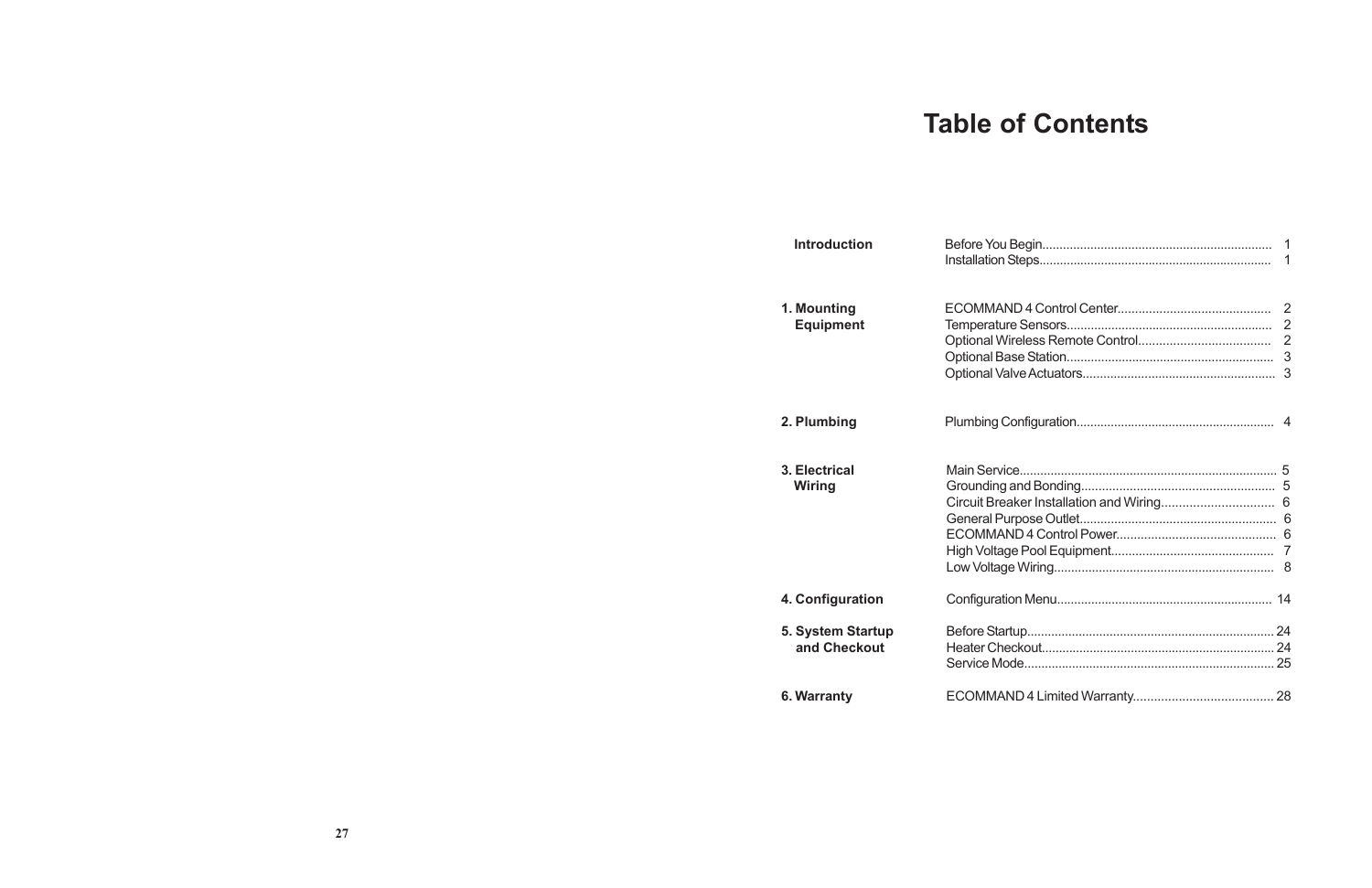## **Table of Contents**

| <b>Introduction</b> |  |
|---------------------|--|
| 1. Mounting         |  |
| <b>Equipment</b>    |  |
|                     |  |
|                     |  |
|                     |  |
| 2. Plumbing         |  |
| 3. Electrical       |  |
| Wiring              |  |
|                     |  |
|                     |  |
|                     |  |
|                     |  |
|                     |  |
| 4. Configuration    |  |
| 5. System Startup   |  |
| and Checkout        |  |
|                     |  |
| 6. Warranty         |  |
|                     |  |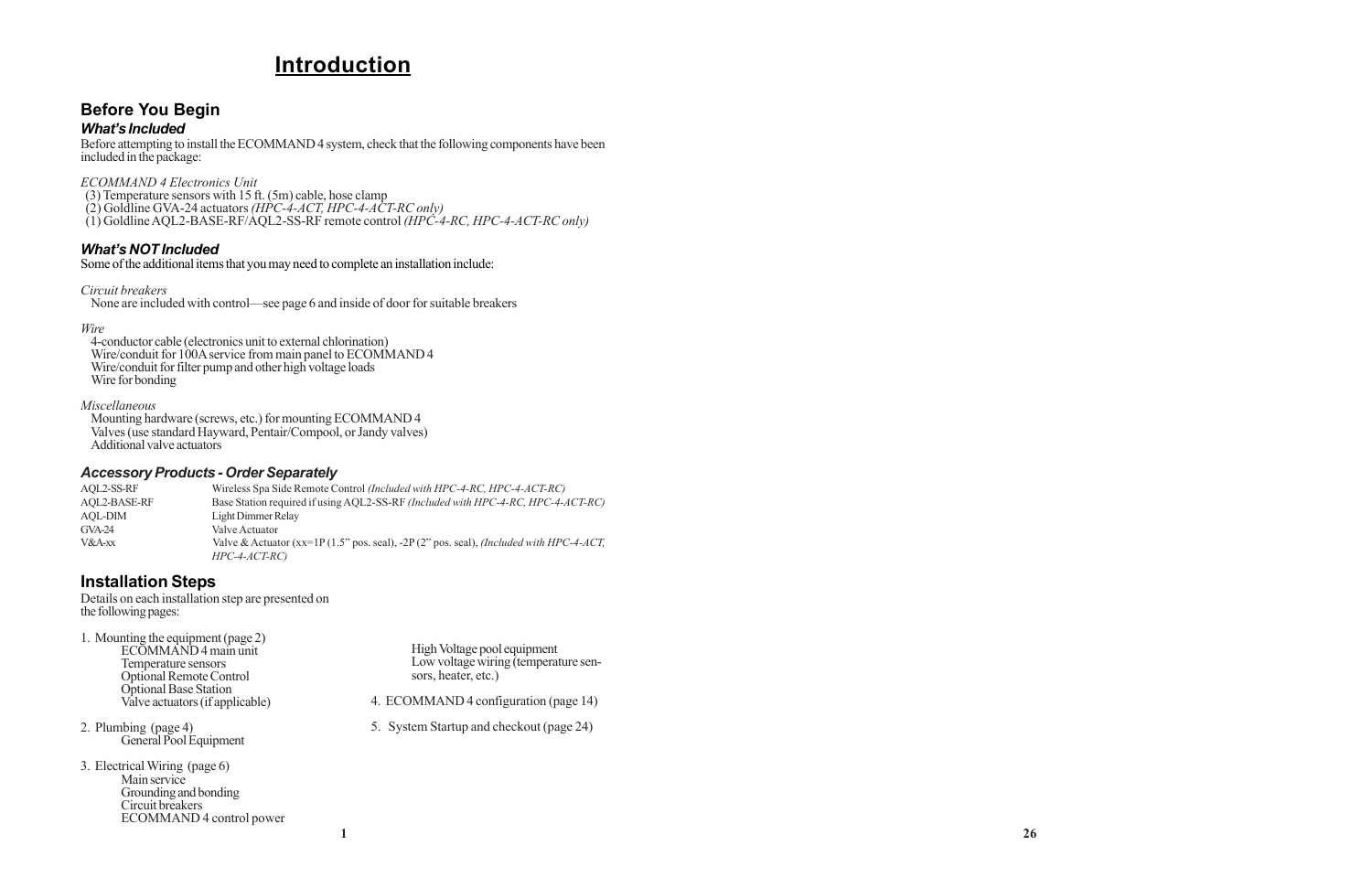### **Introduction**

### **Before You Begin**

#### *What's Included*

Before attempting to install the ECOMMAND 4 system, check that the following components have been included in the package:

*ECOMMAND 4 Electronics Unit*

 (3) Temperature sensors with 15 ft. (5m) cable, hose clamp (2) Goldline GVA-24 actuators *(HPC-4-ACT, HPC-4-ACT-RC only)* (1) Goldline AQL2-BASE-RF/AQL2-SS-RF remote control *(HPC-4-RC, HPC-4-ACT-RC only)*

#### *What's NOT Included*

Some of the additional items that you may need to complete an installation include:

*Circuit breakers*

None are included with control—see page 6 and inside of door for suitable breakers

#### *Wire*

4-conductor cable (electronics unit to external chlorination) Wire/conduit for 100A service from main panel to ECOMMAND 4 Wire/conduit for filter pump and other high voltage loads Wire for bonding

#### *Miscellaneous*

Mounting hardware (screws, etc.) for mounting ECOMMAND 4 Valves (use standard Hayward, Pentair/Compool, or Jandy valves) Additional valve actuators

#### *Accessory Products - Order Separately*

| AOL2-SS-RF          | Wireless Spa Side Remote Control (Included with HPC-4-RC, HPC-4-ACT-RC)                      |
|---------------------|----------------------------------------------------------------------------------------------|
| <b>AQL2-BASE-RF</b> | Base Station required if using AQL2-SS-RF (Included with HPC-4-RC, HPC-4-ACT-RC)             |
| AOL-DIM             | Light Dimmer Relay                                                                           |
| $GVA-24$            | Valve Actuator                                                                               |
| $V&A-xx$            | Valve & Actuator (xx=1P(1.5" pos. seal), -2P(2" pos. seal), <i>(Included with HPC-4-ACT,</i> |
|                     | $HPC-4-ACT-RC$                                                                               |

High Voltage pool equipment Low voltage wiring (temperature sensors, heater, etc.)

4. ECOMMAND 4 configuration (page 14)

5. System Startup and checkout (page 24)

### **Installation Steps**

Details on each installation step are presented on the following pages:

1. Mounting the equipment (page 2) ECOMMAND 4 main unit Temperature sensors

Optional Remote Control Optional Base Station Valve actuators (if applicable)

2. Plumbing (page 4) General Pool Equipment

3. Electrical Wiring (page 6) Main service Grounding and bonding Circuit breakers ECOMMAND 4 control power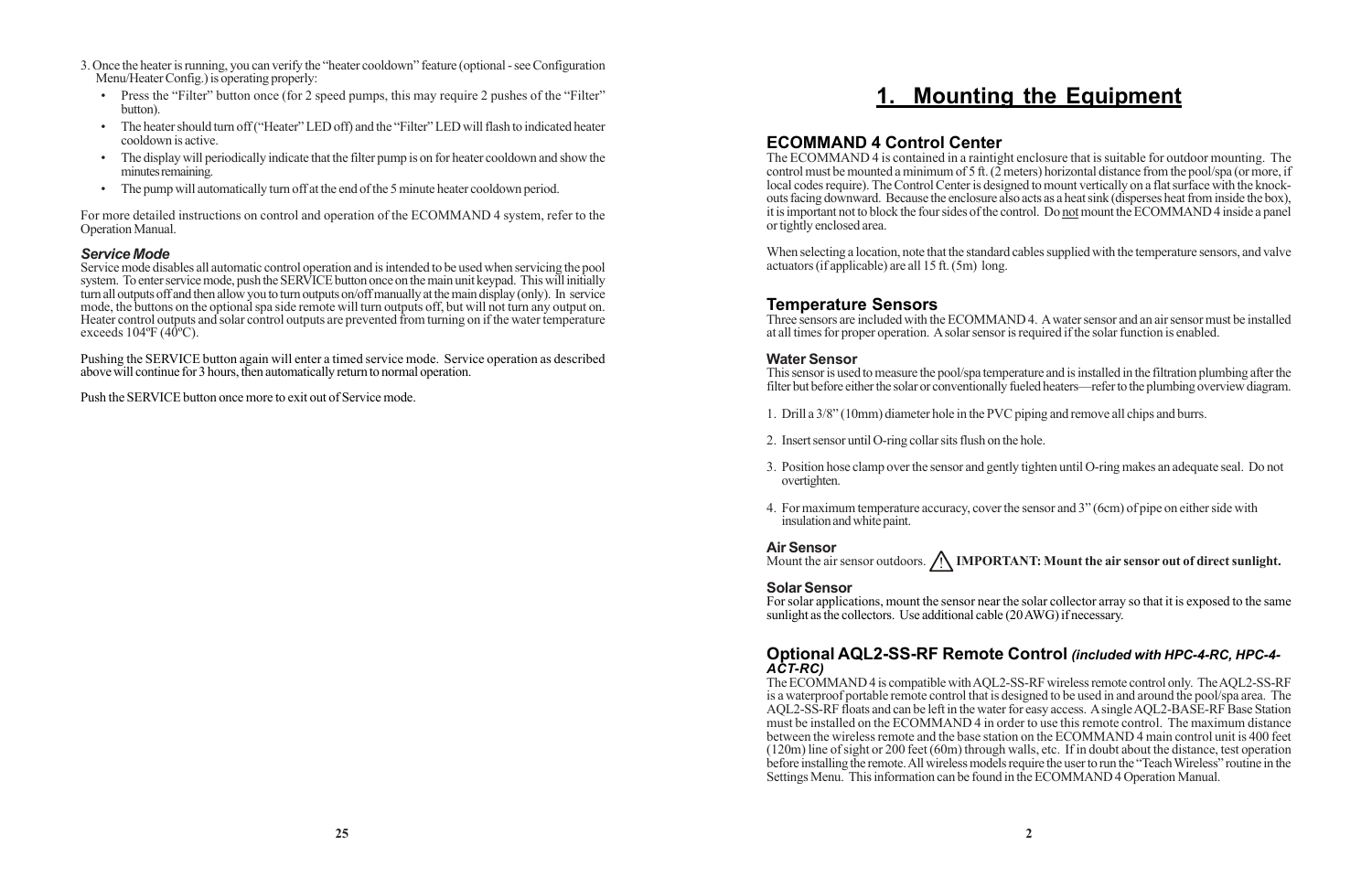## **1. Mounting the Equipment**

#### **ECOMMAND 4 Control Center**

The ECOMMAND 4 is contained in a raintight enclosure that is suitable for outdoor mounting. The control must be mounted a minimum of 5 ft.  $(2 \text{ meters})$  horizontal distance from the pool/spa (or more, if local codes require). The Control Center is designed to mount vertically on a flat surface with the knockouts facing downward. Because the enclosure also acts as a heat sink (disperses heat from inside the box), it is important not to block the four sides of the control. Do not mount the ECOMMAND 4 inside a panel or tightly enclosed area.

When selecting a location, note that the standard cables supplied with the temperature sensors, and valve actuators (if applicable) are all 15 ft. (5m) long.

#### **Temperature Sensors**

Three sensors are included with the ECOMMAND 4. A water sensor and an air sensor must be installed at all times for proper operation. A solar sensor is required if the solar function is enabled.

#### **Water Sensor**

This sensor is used to measure the pool/spa temperature and is installed in the filtration plumbing after the filter but before either the solar or conventionally fueled heaters—refer to the plumbing overview diagram.

- 1. Drill a 3/8" (10mm) diameter hole in the PVC piping and remove all chips and burrs.
- 2. Insert sensor until O-ring collar sits flush on the hole.
- overtighten.
- insulation and white paint.

3. Position hose clamp over the sensor and gently tighten until O-ring makes an adequate seal. Do not

4. For maximum temperature accuracy, cover the sensor and 3" (6cm) of pipe on either side with

#### **Air Sensor**

Mount the air sensor outdoors. **A IMPORTANT: Mount the air sensor out of direct sunlight.** 

#### **Solar Sensor**

Service mode disables all automatic control operation and is intended to be used when servicing the pool system. To enter service mode, push the SERVICE button once on the main unit keypad. This will initially turn all outputs off and then allow you to turn outputs on/off manually at the main display (only). In service mode, the buttons on the optional spa side remote will turn outputs off, but will not turn any output on. Heater control outputs and solar control outputs are prevented from turning on if the water temperature exceeds  $104^{\circ}F(40^{\circ}C)$ .

> For solar applications, mount the sensor near the solar collector array so that it is exposed to the same sunlight as the collectors. Use additional cable (20 AWG) if necessary.

#### **Optional AQL2-SS-RF Remote Control** *(included with HPC-4-RC, HPC-4- ACT-RC)*

The ECOMMAND 4 is compatible with AQL2-SS-RF wireless remote control only. The AQL2-SS-RF is a waterproof portable remote control that is designed to be used in and around the pool/spa area. The AQL2-SS-RF floats and can be left in the water for easy access. A single AQL2-BASE-RF Base Station must be installed on the ECOMMAND 4 in order to use this remote control. The maximum distance between the wireless remote and the base station on the ECOMMAND 4 main control unit is 400 feet (120m) line of sight or 200 feet (60m) through walls, etc. If in doubt about the distance, test operation before installing the remote. All wireless models require the user to run the "Teach Wireless" routine in the Settings Menu. This information can be found in the ECOMMAND 4 Operation Manual.

- 3. Once the heater is running, you can verify the "heater cooldown" feature (optional see Configuration Menu/Heater Config.) is operating properly:
	- Press the "Filter" button once (for 2 speed pumps, this may require 2 pushes of the "Filter" button).
	- The heater should turn off ("Heater" LED off) and the "Filter" LED will flash to indicated heater cooldown is active.
	- The display will periodically indicate that the filter pump is on for heater cooldown and show the minutes remaining.
	- The pump will automatically turn off at the end of the 5 minute heater cooldown period.

For more detailed instructions on control and operation of the ECOMMAND 4 system, refer to the Operation Manual.

#### *Service Mode*

Pushing the SERVICE button again will enter a timed service mode. Service operation as described above will continue for 3 hours, then automatically return to normal operation.

Push the SERVICE button once more to exit out of Service mode.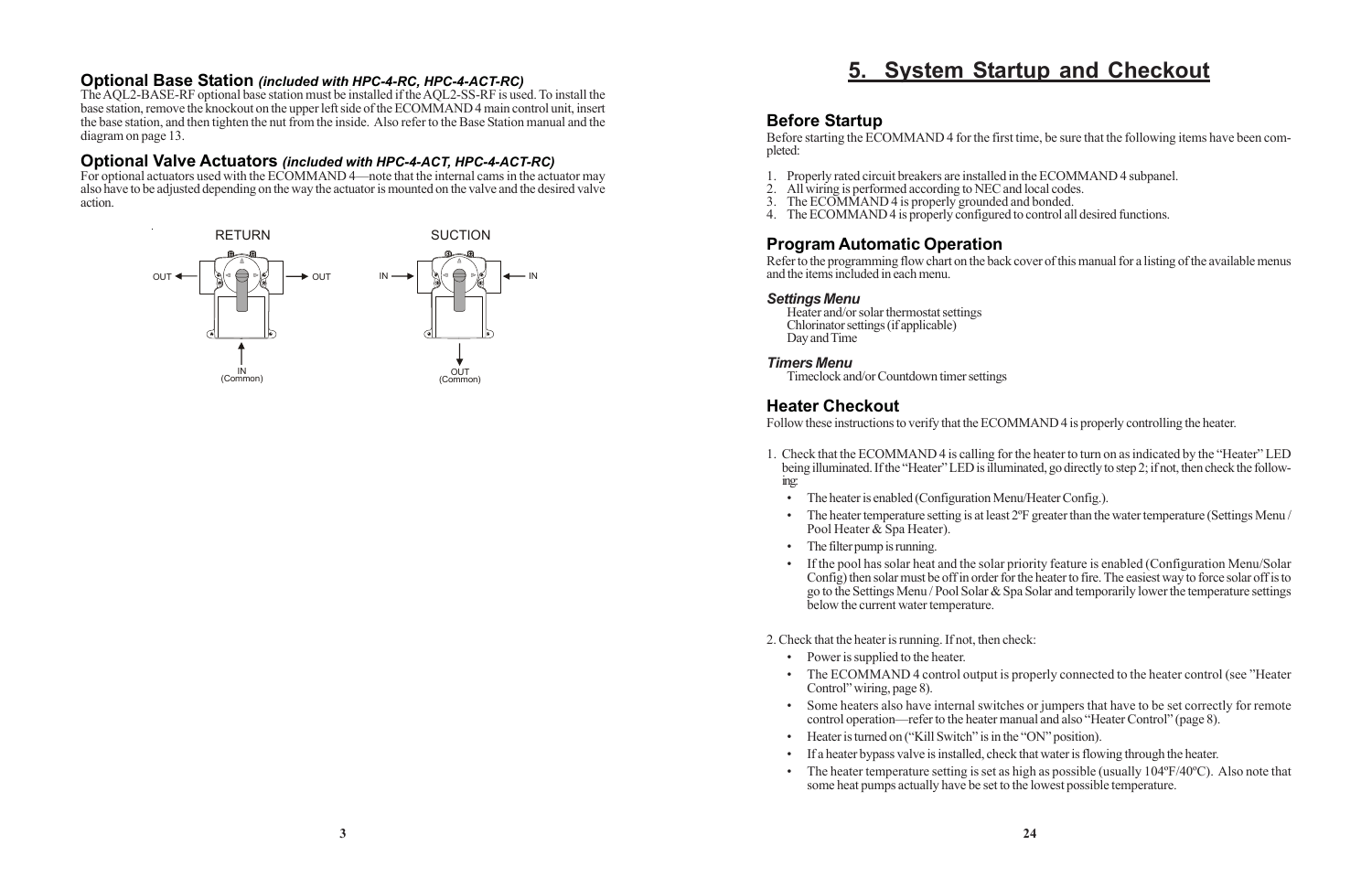#### **Optional Base Station** *(included with HPC-4-RC, HPC-4-ACT-RC)*

The AQL2-BASE-RF optional base station must be installed if the AQL2-SS-RF is used. To install the base station, remove the knockout on the upper left side of the ECOMMAND 4 main control unit, insert the base station, and then tighten the nut from the inside. Also refer to the Base Station manual and the diagram on page 13.

#### **Optional Valve Actuators** *(included with HPC-4-ACT, HPC-4-ACT-RC)*

For optional actuators used with the ECOMMAND 4—note that the internal cams in the actuator may also have to be adjusted depending on the way the actuator is mounted on the valve and the desired valve action.



### **5. System Startup and Checkout**

#### **Before Startup**

Before starting the ECOMMAND 4 for the first time, be sure that the following items have been completed:

- 1. Properly rated circuit breakers are installed in the ECOMMAND 4 subpanel.
- 2. All wiring is performed according to NEC and local codes.
- 3. The ECOMMAND 4 is properly grounded and bonded.
- 4. The ECOMMAND 4 is properly configured to control all desired functions.

#### **Program Automatic Operation**

Refer to the programming flow chart on the back cover of this manual for a listing of the available menus and the items included in each menu.

#### *Settings Menu*

Heater and/or solar thermostat settings Chlorinator settings (if applicable) Day and Time

#### *Timers Menu*

Timeclock and/or Countdown timer settings

#### **Heater Checkout**

- Power is supplied to the heater.
- Control" wiring, page 8).
- 
- Heater is turned on ("Kill Switch" is in the "ON" position).
- 
- some heat pumps actually have be set to the lowest possible temperature.

Follow these instructions to verify that the ECOMMAND 4 is properly controlling the heater.

1. Check that the ECOMMAND 4 is calling for the heater to turn on as indicated by the "Heater" LED being illuminated. If the "Heater" LED is illuminated, go directly to step 2; if not, then check the follow-

• The heater temperature setting is at least 2<sup>o</sup>F greater than the water temperature (Settings Menu /

- ing:
	- The heater is enabled (Configuration Menu/Heater Config.).
	- Pool Heater & Spa Heater).
	- The filter pump is running.
	- below the current water temperature.

• If the pool has solar heat and the solar priority feature is enabled (Configuration Menu/Solar Config) then solar must be off in order for the heater to fire. The easiest way to force solar off is to go to the Settings Menu / Pool Solar & Spa Solar and temporarily lower the temperature settings

• The ECOMMAND 4 control output is properly connected to the heater control (see "Heater"

#### 2. Check that the heater is running. If not, then check:

• Some heaters also have internal switches or jumpers that have to be set correctly for remote control operation—refer to the heater manual and also "Heater Control" (page 8).

• If a heater bypass valve is installed, check that water is flowing through the heater.

• The heater temperature setting is set as high as possible (usually 104ºF/40ºC). Also note that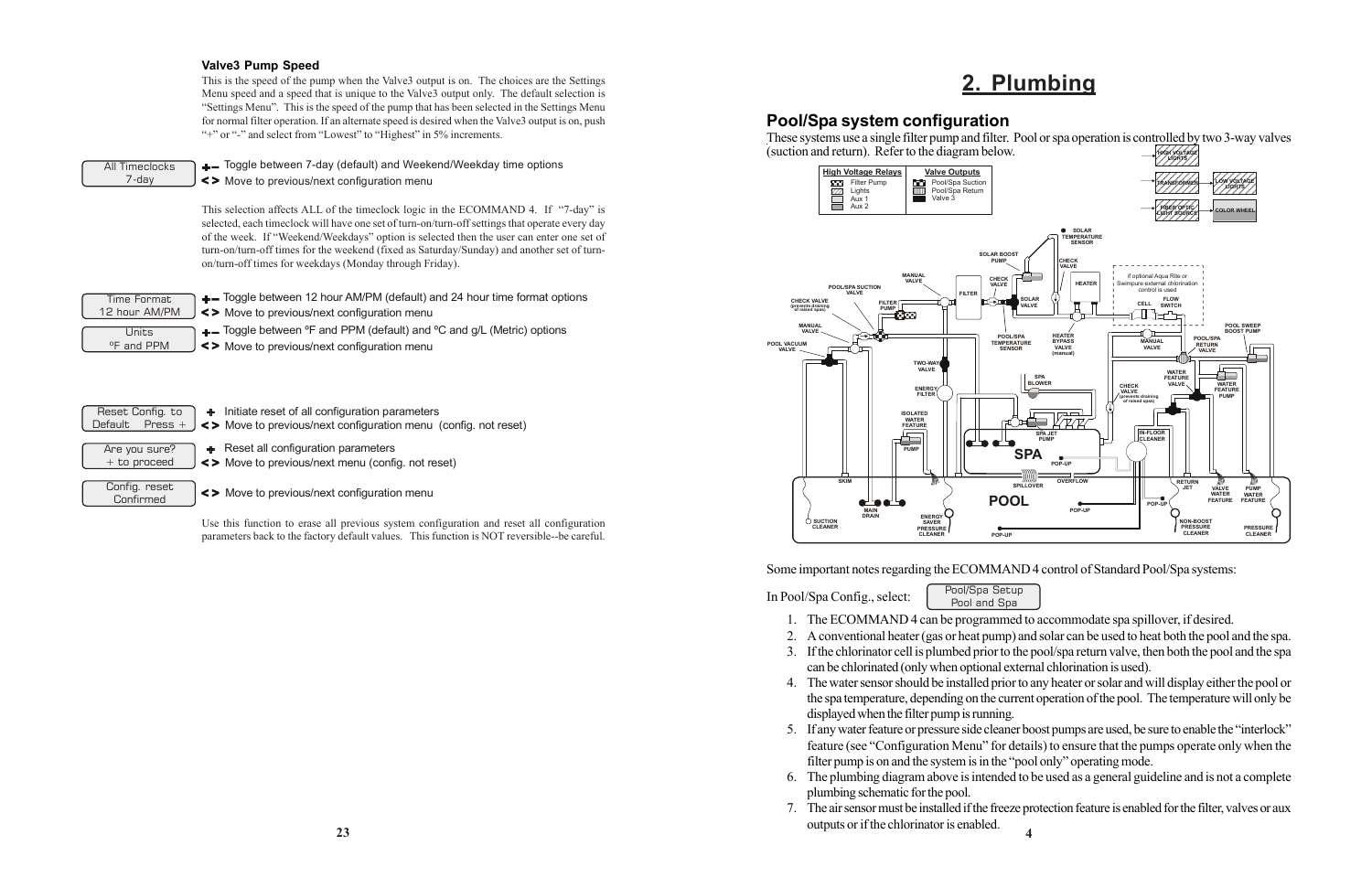## **2. Plumbing**

#### **Pool/Spa system configuration**

(suction and return). Refer to the diagram below.

Some important notes regarding the ECOMMAND 4 control of Standard Pool/Spa systems:

In Pool/Spa Config., select: Pool/Spa Setup

1. The ECOMMAND 4 can be programmed to accommodate spa spillover, if desired.

2. A conventional heater (gas or heat pump) and solar can be used to heat both the pool and the spa. 3. If the chlorinator cell is plumbed prior to the pool/spa return valve, then both the pool and the spa

4. The water sensor should be installed prior to any heater or solar and will display either the pool or the spa temperature, depending on the current operation of the pool. The temperature will only be

- Pool and Spa
- 
- 
- can be chlorinated (only when optional external chlorination is used).
- displayed when the filter pump is running.
- filter pump is on and the system is in the "pool only" operating mode.
- plumbing schematic for the pool.
- outputs or if the chlorinator is enabled. **<sup>23</sup>**

5. If any water feature or pressure side cleaner boost pumps are used, be sure to enable the "interlock" feature (see "Configuration Menu" for details) to ensure that the pumps operate only when the

6. The plumbing diagram above is intended to be used as a general guideline and is not a complete

Move to previous/next configuration menu + Toggle between 12 hour AM/PM (default) and 24 hour time format options

+ Toggle between °F and PPM (default) and °C and g/L (Metric) options

7. The air sensor must be installed if the freeze protection feature is enabled for the filter, valves or aux

#### **Valve3 Pump Speed**

This is the speed of the pump when the Valve3 output is on. The choices are the Settings Menu speed and a speed that is unique to the Valve3 output only. The default selection is "Settings Menu". This is the speed of the pump that has been selected in the Settings Menu for normal filter operation. If an alternate speed is desired when the Valve3 output is on, push "+" or "-" and select from "Lowest" to "Highest" in 5% increments.



All Timeclocks

7-day  $\left| \right|$  <> Move to previous/next configuration menu **+** ■ Toggle between 7-day (default) and Weekend/Weekday time options

> This selection affects ALL of the timeclock logic in the ECOMMAND 4. If "7-day" is selected, each timeclock will have one set of turn-on/turn-off settings that operate every day of the week. If "Weekend/Weekdays" option is selected then the user can enter one set of turn-on/turn-off times for the weekend (fixed as Saturday/Sunday) and another set of turnon/turn-off times for weekdays (Monday through Friday).





Config. reset Confirmed

+ Initiate reset of all configuration parameters

Move to previous/next configuration menu (config. not reset)

**+** Reset all configuration parameters

Move to previous/next menu (config. not reset)

Move to previous/next configuration menu

Use this function to erase all previous system configuration and reset all configuration parameters back to the factory default values. This function is NOT reversible--be careful.

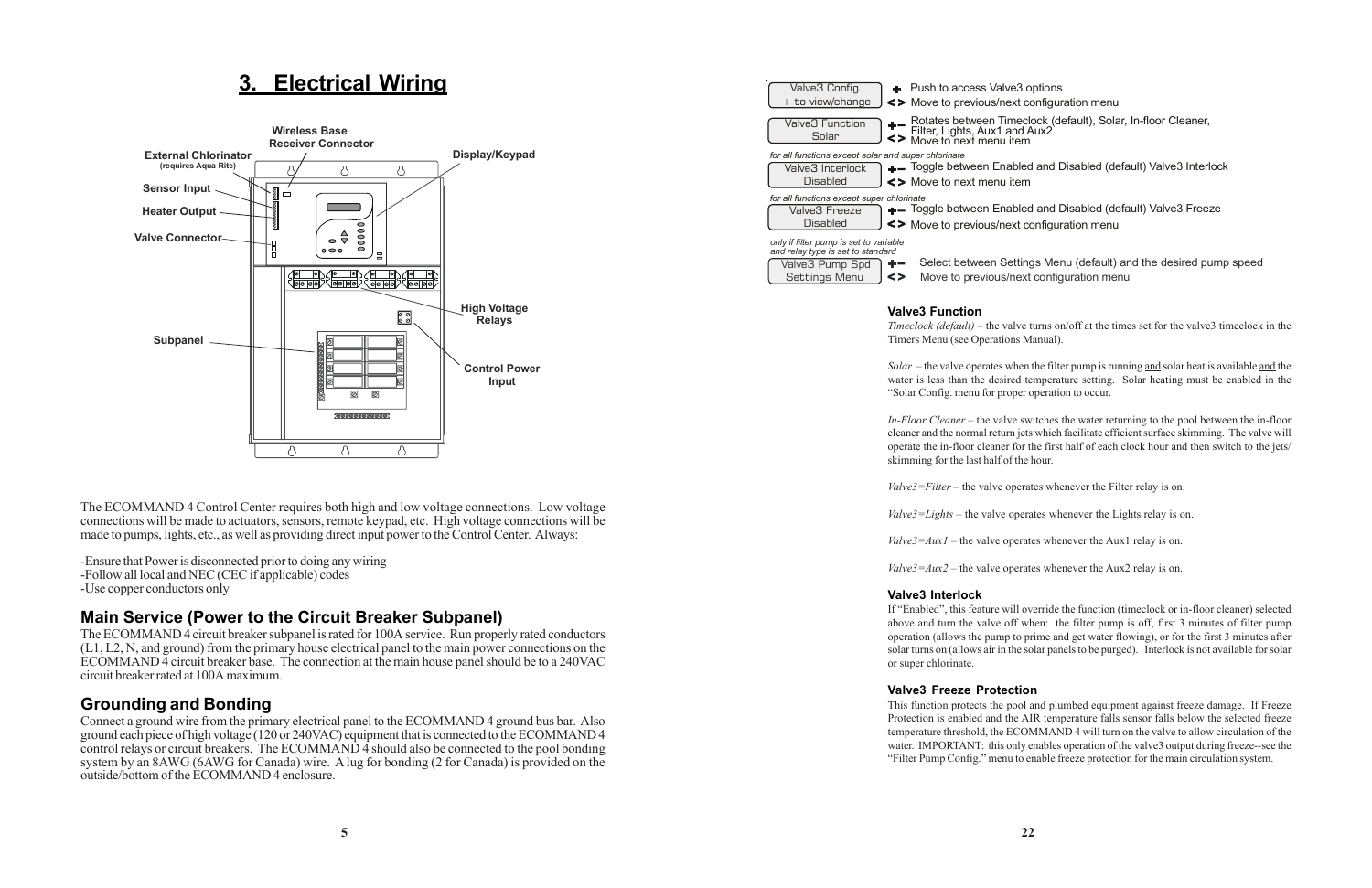### **3. Electrical Wiring**

The ECOMMAND 4 Control Center requires both high and low voltage connections. Low voltage connections will be made to actuators, sensors, remote keypad, etc. High voltage connections will be made to pumps, lights, etc., as well as providing direct input power to the Control Center. Always:

-Ensure that Power is disconnected prior to doing any wiring -Follow all local and NEC (CEC if applicable) codes

-Use copper conductors only

### **Main Service (Power to the Circuit Breaker Subpanel)**

The ECOMMAND 4 circuit breaker subpanel is rated for 100A service. Run properly rated conductors (L1, L2, N, and ground) from the primary house electrical panel to the main power connections on the ECOMMAND 4 circuit breaker base. The connection at the main house panel should be to a 240VAC circuit breaker rated at 100A maximum.

#### **Grounding and Bonding**

Connect a ground wire from the primary electrical panel to the ECOMMAND 4 ground bus bar. Also ground each piece of high voltage (120 or 240VAC) equipment that is connected to the ECOMMAND 4 control relays or circuit breakers. The ECOMMAND 4 should also be connected to the pool bonding system by an 8AWG (6AWG for Canada) wire. A lug for bonding (2 for Canada) is provided on the outside/bottom of the ECOMMAND 4 enclosure.

ve3 options ext configuration menu

imeclock (default), Solar, In-floor Cleaner,<br>and Aux2 ı item

abled and Disabled (default) Valve3 Interlock ı item

abled and Disabled (default) Valve3 Freeze ext configuration menu

Settings Menu  $\left| \right|$  <> Move to previous/next configuration menu Settings Menu (default) and the desired pump speed



| Valve3 Config.<br>$+$ to view/change                                                                                                     |    | + Push to access Val<br><> Move to previous/n                   |
|------------------------------------------------------------------------------------------------------------------------------------------|----|-----------------------------------------------------------------|
| Valve3 Function<br>Solar                                                                                                                 | <> | Rotates between Ti<br>Filter, Lights, Aux1<br>Move to next menu |
| for all functions except solar and super chlorinate<br>Valve3 Interlock<br><b>Disabled</b>                                               |    | $+$ Toggle between En<br><> Move to next menu                   |
| for all functions except super chlorinate<br>Valve3 Freeze<br><b>Disabled</b>                                                            |    | $+$ - Toggle between En<br><> Move to previous/n                |
| only if filter pump is set to variable<br>and relay type is set to standard<br>Valve3 Pump Spd<br>$P$ <sub>atting</sub> M <sub>anu</sub> |    | Select between S<br>$M$ ovo to provisuo                         |

#### **Valve3 Function**

*Timeclock (default)* – the valve turns on/off at the times set for the valve3 timeclock in the Timers Menu (see Operations Manual).

*Solar* – the valve operates when the filter pump is running and solar heat is available and the water is less than the desired temperature setting. Solar heating must be enabled in the "Solar Config. menu for proper operation to occur.

*In-Floor Cleaner* – the valve switches the water returning to the pool between the in-floor cleaner and the normal return jets which facilitate efficient surface skimming. The valve will operate the in-floor cleaner for the first half of each clock hour and then switch to the jets/ skimming for the last half of the hour.

*Valve3=Filter* – the valve operates whenever the Filter relay is on.

*Valve3=Lights* – the valve operates whenever the Lights relay is on.

*Valve3=Aux1* – the valve operates whenever the Aux1 relay is on.

 $Value3 = Aux2$  – the valve operates whenever the Aux2 relay is on.

#### **Valve3 Interlock**

If "Enabled", this feature will override the function (timeclock or in-floor cleaner) selected above and turn the valve off when: the filter pump is off, first 3 minutes of filter pump operation (allows the pump to prime and get water flowing), or for the first 3 minutes after solar turns on (allows air in the solar panels to be purged). Interlock is not available for solar or super chlorinate.

#### **Valve3 Freeze Protection**

This function protects the pool and plumbed equipment against freeze damage. If Freeze Protection is enabled and the AIR temperature falls sensor falls below the selected freeze temperature threshold, the ECOMMAND 4 will turn on the valve to allow circulation of the water. IMPORTANT: this only enables operation of the valve3 output during freeze--see the "Filter Pump Config." menu to enable freeze protection for the main circulation system.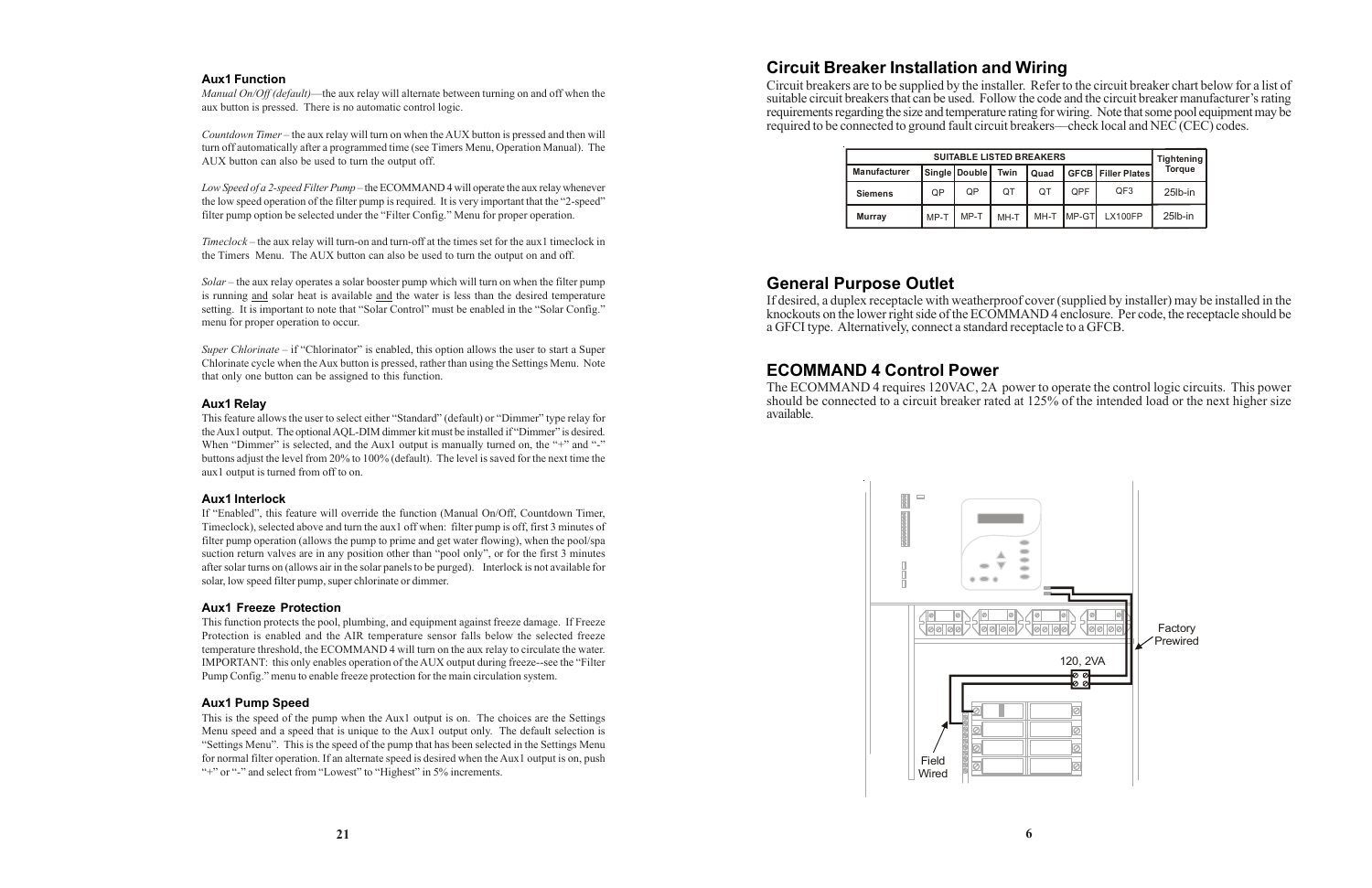### **Circuit Breaker Installation and Wiring**

Circuit breakers are to be supplied by the installer. Refer to the circuit breaker chart below for a list of suitable circuit breakers that can be used. Follow the code and the circuit breaker manufacturer's rating requirements regarding the size and temperature rating for wiring. Note that some pool equipment may be required to be connected to ground fault circuit breakers—check local and NEC (CEC) codes.

#### **General Purpose Outlet**

If desired, a duplex receptacle with weatherproof cover (supplied by installer) may be installed in the knockouts on the lower right side of the ECOMMAND 4 enclosure. Per code, the receptacle should be a GFCI type. Alternatively, connect a standard receptacle to a GFCB.

#### **ECOMMAND 4 Control Power**

The ECOMMAND 4 requires 120VAC, 2A power to operate the control logic circuits. This power should be connected to a circuit breaker rated at 125% of the intended load or the next higher size available.

*Timeclock* – the aux relay will turn-on and turn-off at the times set for the aux1 timeclock in the Timers Menu. The AUX button can also be used to turn the output on and off.

#### **Aux1 Function**

*Manual On/Off (default)*—the aux relay will alternate between turning on and off when the aux button is pressed. There is no automatic control logic.

*Super Chlorinate* – if "Chlorinator" is enabled, this option allows the user to start a Super Chlorinate cycle when the Aux button is pressed, rather than using the Settings Menu. Note that only one button can be assigned to this function.

*Countdown Timer* – the aux relay will turn on when the AUX button is pressed and then will turn off automatically after a programmed time (see Timers Menu, Operation Manual). The AUX button can also be used to turn the output off.

*Low Speed of a 2-speed Filter Pump* – the ECOMMAND 4 will operate the aux relay whenever the low speed operation of the filter pump is required. It is very important that the "2-speed" filter pump option be selected under the "Filter Config." Menu for proper operation.

*Solar* – the aux relay operates a solar booster pump which will turn on when the filter pump is running and solar heat is available and the water is less than the desired temperature setting. It is important to note that "Solar Control" must be enabled in the "Solar Config." menu for proper operation to occur.

#### **Aux1 Relay**

This feature allows the user to select either "Standard" (default) or "Dimmer" type relay for the Aux1 output. The optional AQL-DIM dimmer kit must be installed if "Dimmer" is desired. When "Dimmer" is selected, and the Aux1 output is manually turned on, the "+" and "-" buttons adjust the level from 20% to 100% (default). The level is saved for the next time the aux1 output is turned from off to on.

#### **Aux1 Interlock**

If "Enabled", this feature will override the function (Manual On/Off, Countdown Timer, Timeclock), selected above and turn the aux1 off when: filter pump is off, first 3 minutes of filter pump operation (allows the pump to prime and get water flowing), when the pool/spa suction return valves are in any position other than "pool only", or for the first 3 minutes after solar turns on (allows air in the solar panels to be purged). Interlock is not available for solar, low speed filter pump, super chlorinate or dimmer.

#### **Aux1 Freeze Protection**

This function protects the pool, plumbing, and equipment against freeze damage. If Freeze Protection is enabled and the AIR temperature sensor falls below the selected freeze temperature threshold, the ECOMMAND 4 will turn on the aux relay to circulate the water. IMPORTANT: this only enables operation of the AUX output during freeze--see the "Filter Pump Config." menu to enable freeze protection for the main circulation system.

#### **Aux1 Pump Speed**

This is the speed of the pump when the Aux1 output is on. The choices are the Settings Menu speed and a speed that is unique to the Aux1 output only. The default selection is "Settings Menu". This is the speed of the pump that has been selected in the Settings Menu for normal filter operation. If an alternate speed is desired when the Aux1 output is on, push "+" or "-" and select from "Lowest" to "Highest" in 5% increments.

| <b>SUITABLE LISTED BREAKERS</b> |      |               |      | <b>Tightening</b> |            |                            |               |
|---------------------------------|------|---------------|------|-------------------|------------|----------------------------|---------------|
| <b>Manufacturer</b>             |      | Single Double | Twin | Quad              |            | <b>GFCBI Filler Plates</b> | <b>Torque</b> |
| <b>Siemens</b>                  | QP   | QP            | QT   | OT                | <b>OPF</b> | QF3                        | $25$ lb-in    |
| <b>Murray</b>                   | MP-T | MP-T          | MH-T | MH-T              | MP-GT      | LX100FP                    | 25lb-in       |

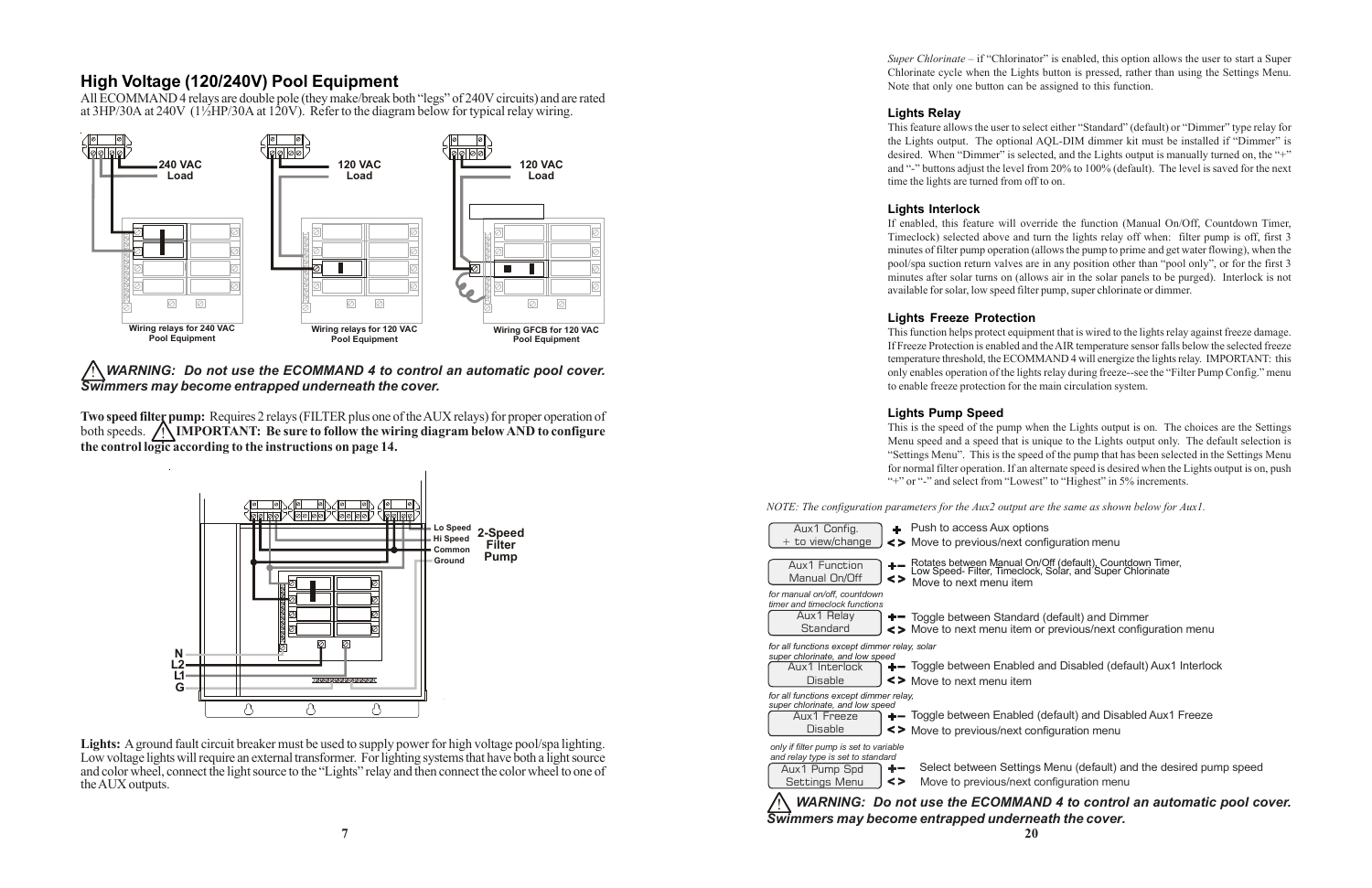### **High Voltage (120/240V) Pool Equipment**

All ECOMMAND 4 relays are double pole (they make/break both "legs" of 240V circuits) and are rated at  $3HP/30A$  at  $240V$  (1<sup>1</sup>/<sub>2</sub>HP/30A at 120V). Refer to the diagram below for typical relay wiring.

! *WARNING: Do not use the ECOMMAND 4 to control an automatic pool cover. Swimmers may become entrapped underneath the cover.*

**Two speed filter pump:** Requires 2 relays (FILTER plus one of the AUX relays) for proper operation of both speeds. **/ IMPORTANT:** Be sure to follow the wiring diagram below AND to configure **the control logic according to the instructions on page 14.**

*Super Chlorinate* – if "Chlorinator" is enabled, this option allows the user to start a Super Chlorinate cycle when the Lights button is pressed, rather than using the Settings Menu. Note that only one button can be assigned to this function.

**Lights:** A ground fault circuit breaker must be used to supply power for high voltage pool/spa lighting. Low voltage lights will require an external transformer. For lighting systems that have both a light source and color wheel, connect the light source to the "Lights" relay and then connect the color wheel to one of the AUX outputs.

item nual On/Off (default), Countdown Timer,<br>meclock, Solar, and Super Chlorinate

andard (default) and Dimmer item or previous/next configuration menu

abled and Disabled (default) Aux1 Interlock item

abled (default) and Disabled Aux1 Freeze ext configuration menu

Settings Menu (default) and the desired pump speed /next configuration menu





**20**

#### **Lights Relay**

This feature allows the user to select either "Standard" (default) or "Dimmer" type relay for the Lights output. The optional AQL-DIM dimmer kit must be installed if "Dimmer" is desired. When "Dimmer" is selected, and the Lights output is manually turned on, the "+" and "-" buttons adjust the level from 20% to 100% (default). The level is saved for the next time the lights are turned from off to on.

#### **Lights Interlock**

If enabled, this feature will override the function (Manual On/Off, Countdown Timer, Timeclock) selected above and turn the lights relay off when: filter pump is off, first 3 minutes of filter pump operation (allows the pump to prime and get water flowing), when the pool/spa suction return valves are in any position other than "pool only", or for the first 3 minutes after solar turns on (allows air in the solar panels to be purged). Interlock is not available for solar, low speed filter pump, super chlorinate or dimmer.

#### **Lights Freeze Protection**

This function helps protect equipment that is wired to the lights relay against freeze damage. If Freeze Protection is enabled and the AIR temperature sensor falls below the selected freeze temperature threshold, the ECOMMAND 4 will energize the lights relay. IMPORTANT: this only enables operation of the lights relay during freeze--see the "Filter Pump Config." menu to enable freeze protection for the main circulation system.

#### **Lights Pump Speed**

This is the speed of the pump when the Lights output is on. The choices are the Settings Menu speed and a speed that is unique to the Lights output only. The default selection is "Settings Menu". This is the speed of the pump that has been selected in the Settings Menu for normal filter operation. If an alternate speed is desired when the Lights output is on, push "+" or "-" and select from "Lowest" to "Highest" in 5% increments.

#### *NOTE: The configuration parameters for the Aux2 output are the same as shown below for Aux1.*

| Aux1 Config.<br>+ to view/change                                                                                    | $+$ Push to access Aux options<br><> Move to previous/next configuration menu                                                      |
|---------------------------------------------------------------------------------------------------------------------|------------------------------------------------------------------------------------------------------------------------------------|
| Aux1 Function<br>Manual On/Off                                                                                      | Rotates between Manual On/Off (default), Count<br>Low Speed- Filter, Timeclock, Solar, and Super (<br><><br>Move to next menu item |
| for manual on/off, countdown<br>timer and timeclock functions<br>Aux1 Relay<br>Standard                             | $+$ Toggle between Standard (default) and Dim<br><> Move to next menu item or previous/next co                                     |
| for all functions except dimmer relay, solar<br>super chlorinate, and low speed<br>Aux1 Interlock<br><b>Disable</b> | +- Toggle between Enabled and Disabled (def<br><> Move to next menu item                                                           |
| for all functions except dimmer relay,<br>super chlorinate, and low speed<br>Aux1 Freeze<br><b>Disable</b>          | +- Toggle between Enabled (default) and Disa<br><> Move to previous/next configuration menu                                        |
| only if filter pump is set to variable<br>and relay type is set to standard<br>Aux1 Pump Spd<br>Settings Menu       | Select between Settings Menu (default) a<br>÷ —<br><><br>Move to previous/next configuration ment                                  |
|                                                                                                                     | <b>WARNING: Do not use the ECOMMAND 4 to contro.</b><br>Swimmers may become entrapped underneath the cover.                        |

! *WARNING: Do not use the ECOMMAND 4 to control an automatic pool cover.*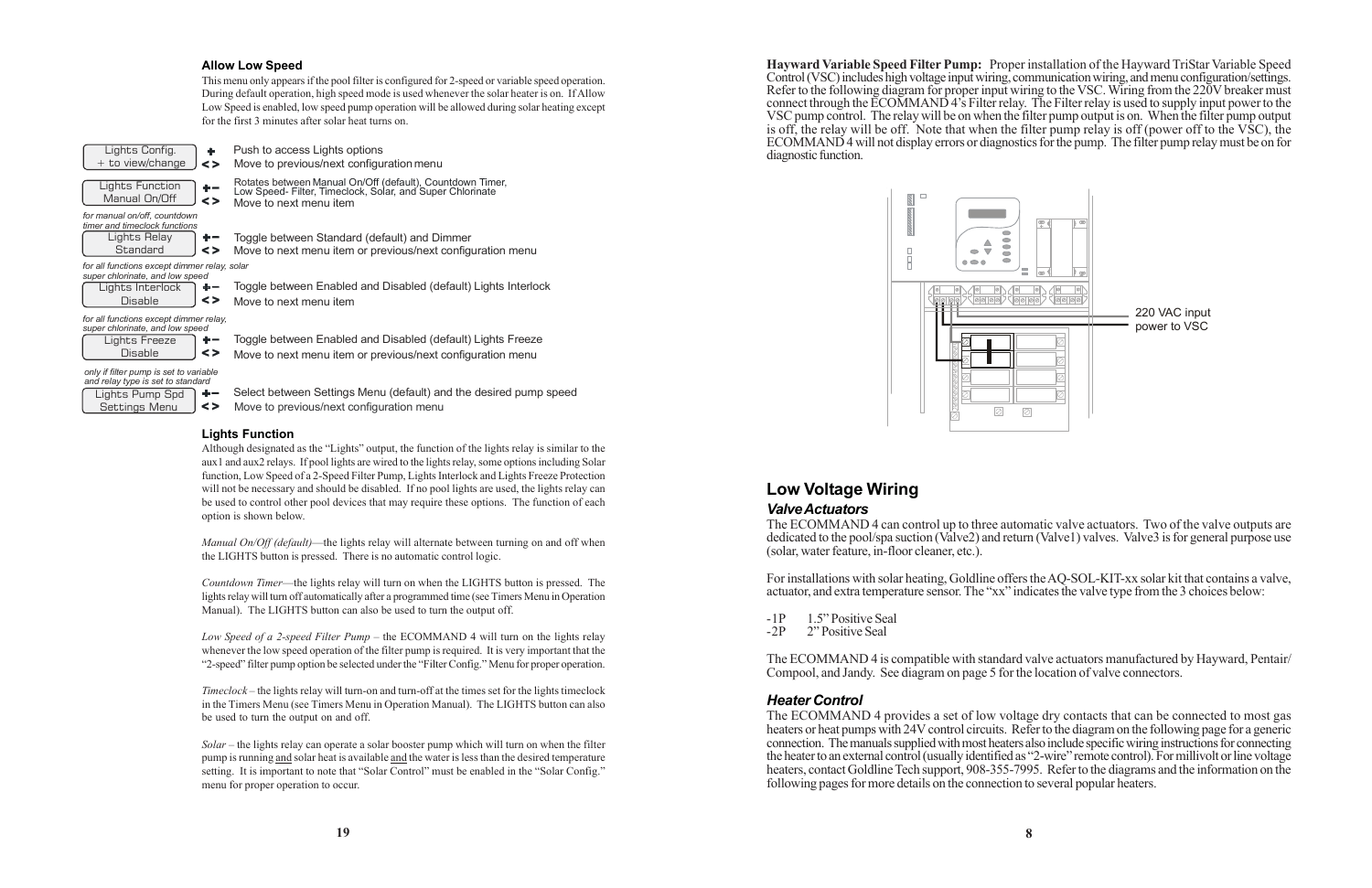**Hayward Variable Speed Filter Pump:** Proper installation of the Hayward TriStar Variable Speed Control (VSC) includes high voltage input wiring, communication wiring, and menu configuration/settings. Refer to the following diagram for proper input wiring to the VSC. Wiring from the 220V breaker must connect through the ECOMMAND 4's Filter relay. The Filter relay is used to supply input power to the VSC pump control. The relay will be on when the filter pump output is on. When the filter pump output is off, the relay will be off. Note that when the filter pump relay is off (power off to the VSC), the ECOMMAND 4 will not display errors or diagnostics for the pump. The filter pump relay must be on for diagnostic function.



#### **Low Voltage Wiring** *Valve Actuators*

The ECOMMAND 4 can control up to three automatic valve actuators. Two of the valve outputs are dedicated to the pool/spa suction (Valve2) and return (Valve1) valves. Valve3 is for general purpose use (solar, water feature, in-floor cleaner, etc.).

For installations with solar heating, Goldline offers the AQ-SOL-KIT-xx solar kit that contains a valve, actuator, and extra temperature sensor. The "xx" indicates the valve type from the 3 choices below:

-1P 1.5" Positive Seal<br>-2P 2" Positive Seal 2" Positive Seal

The ECOMMAND 4 is compatible with standard valve actuators manufactured by Hayward, Pentair/ Compool, and Jandy. See diagram on page 5 for the location of valve connectors.

#### *Heater Control*

The ECOMMAND 4 provides a set of low voltage dry contacts that can be connected to most gas heaters or heat pumps with 24V control circuits. Refer to the diagram on the following page for a generic connection. The manuals supplied with most heaters also include specific wiring instructions for connecting the heater to an external control (usually identified as "2-wire" remote control). For millivolt or line voltage heaters, contact Goldline Tech support, 908-355-7995. Refer to the diagrams and the information on the following pages for more details on the connection to several popular heaters.

#### **Allow Low Speed**

This menu only appears if the pool filter is configured for 2-speed or variable speed operation. During default operation, high speed mode is used whenever the solar heater is on. If Allow Low Speed is enabled, low speed pump operation will be allowed during solar heating except for the first 3 minutes after solar heat turns on.

- Lights Pump Spd  $+ \leq$
- Settings Menu

Select between Settings Menu (default) and the desired pump speed Move to previous/next configuration menu

*only if filter pump is set to variable and relay type is set to standard*

Push to access Lights options Move to previous/next configuration menu

Rotates between Manual On/Off (default), Countdown Timer, Low Speed- Filter, Timeclock, Solar, and Super Chlorinate Move to next menu item

Toggle between Standard (default) and Dimmer

Move to next menu item or previous/next configuration menu



| aper omomiate, and four opeed |                   |
|-------------------------------|-------------------|
| Lights Freeze                 |                   |
| <b>Disable</b>                | $\leftrightarrow$ |

| timer and timeclock functions |        |
|-------------------------------|--------|
| Lights Relay                  |        |
| Standard                      | $\leq$ |

Toggle between Enabled and Disabled (default) Lights Interlock Move to next menu item

Toggle between Enabled and Disabled (default) Lights Freeze

| super chlorinate, and low speed |    |
|---------------------------------|----|
| Lights Interlock                | ÷. |
| <b>Disable</b>                  | <> |

Move to next menu item or previous/next configuration menu

*f or all functions except dimmer relay, solar*

*f or all functions except dimmer relay, super chlorinate, and low speed*

#### **Lights Function**

Although designated as the "Lights" output, the function of the lights relay is similar to the aux1 and aux2 relays. If pool lights are wired to the lights relay, some options including Solar function, Low Speed of a 2-Speed Filter Pump, Lights Interlock and Lights Freeze Protection will not be necessary and should be disabled. If no pool lights are used, the lights relay can be used to control other pool devices that may require these options. The function of each option is shown below.

*Manual On/Off (default)*—the lights relay will alternate between turning on and off when the LIGHTS button is pressed. There is no automatic control logic.

*Countdown Timer*—the lights relay will turn on when the LIGHTS button is pressed. The lights relay will turn off automatically after a programmed time (see Timers Menu in Operation Manual). The LIGHTS button can also be used to turn the output off.

*Low Speed of a 2-speed Filter Pump* – the ECOMMAND 4 will turn on the lights relay whenever the low speed operation of the filter pump is required. It is very important that the "2-speed" filter pump option be selected under the "Filter Config." Menu for proper operation.

*Timeclock* – the lights relay will turn-on and turn-off at the times set for the lights timeclock in the Timers Menu (see Timers Menu in Operation Manual). The LIGHTS button can also be used to turn the output on and off.

*Solar* – the lights relay can operate a solar booster pump which will turn on when the filter pump is running and solar heat is available and the water is less than the desired temperature setting. It is important to note that "Solar Control" must be enabled in the "Solar Config." menu for proper operation to occur.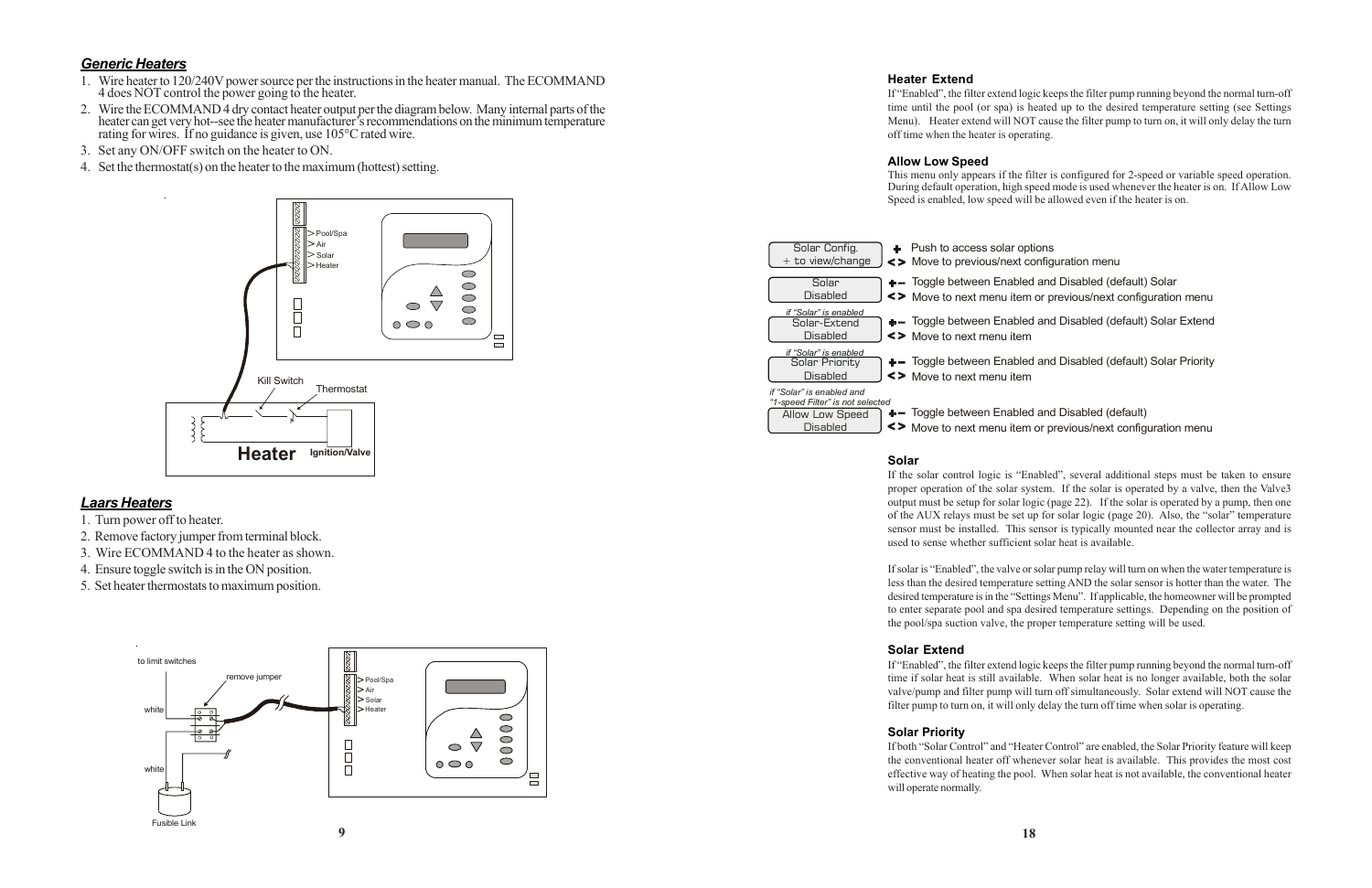#### *Generic Heaters*

- 1. Wire heater to 120/240V power source per the instructions in the heater manual. The ECOMMAND 4 does NOT control the power going to the heater.
- 2. Wire the ECOMMAND 4 dry contact heater output per the diagram below. Many internal parts of the heater can get very hot--see the heater manufacturer's recommendations on the minimum temperature rating for wires. If no guidance is given, use 105°C rated wire.
- 3. Set any ON/OFF switch on the heater to ON.
- 4. Set the thermostat(s) on the heater to the maximum (hottest) setting.

#### *Laars Heaters*

- 1. Turn power off to heater.
- 2. Remove factory jumper from terminal block.
- 3. Wire ECOMMAND 4 to the heater as shown.
- 4. Ensure toggle switch is in the ON position.
- 5. Set heater thermostats to maximum position.





#### **Heater Extend**

- 
- +- Toggle between Enabled and Disabled (default) Solar
- Move to next menu item or previous/next configuration menu
- +- Toggle between Enabled and Disabled (default) Solar Extend
- +- Toggle between Enabled and Disabled (default) Solar Priority
- +- Toggle between Enabled and Disabled (default) Move to next menu item or previous/next configuration menu

If "Enabled", the filter extend logic keeps the filter pump running beyond the normal turn-off time until the pool (or spa) is heated up to the desired temperature setting (see Settings Menu). Heater extend will NOT cause the filter pump to turn on, it will only delay the turn off time when the heater is operating.

#### **Allow Low Speed**

This menu only appears if the filter is configured for 2-speed or variable speed operation. During default operation, high speed mode is used whenever the heater is on. If Allow Low Speed is enabled, low speed will be allowed even if the heater is on.



#### **Solar**

If the solar control logic is "Enabled", several additional steps must be taken to ensure proper operation of the solar system. If the solar is operated by a valve, then the Valve3 output must be setup for solar logic (page 22). If the solar is operated by a pump, then one of the AUX relays must be set up for solar logic (page 20). Also, the "solar" temperature sensor must be installed. This sensor is typically mounted near the collector array and is used to sense whether sufficient solar heat is available.

If solar is "Enabled", the valve or solar pump relay will turn on when the water temperature is less than the desired temperature setting AND the solar sensor is hotter than the water. The desired temperature is in the "Settings Menu". If applicable, the homeowner will be prompted to enter separate pool and spa desired temperature settings. Depending on the position of the pool/spa suction valve, the proper temperature setting will be used.

#### **Solar Extend**

If "Enabled", the filter extend logic keeps the filter pump running beyond the normal turn-off time if solar heat is still available. When solar heat is no longer available, both the solar valve/pump and filter pump will turn off simultaneously. Solar extend will NOT cause the filter pump to turn on, it will only delay the turn off time when solar is operating.

#### **Solar Priority**

If both "Solar Control" and "Heater Control" are enabled, the Solar Priority feature will keep the conventional heater off whenever solar heat is available. This provides the most cost effective way of heating the pool. When solar heat is not available, the conventional heater will operate normally.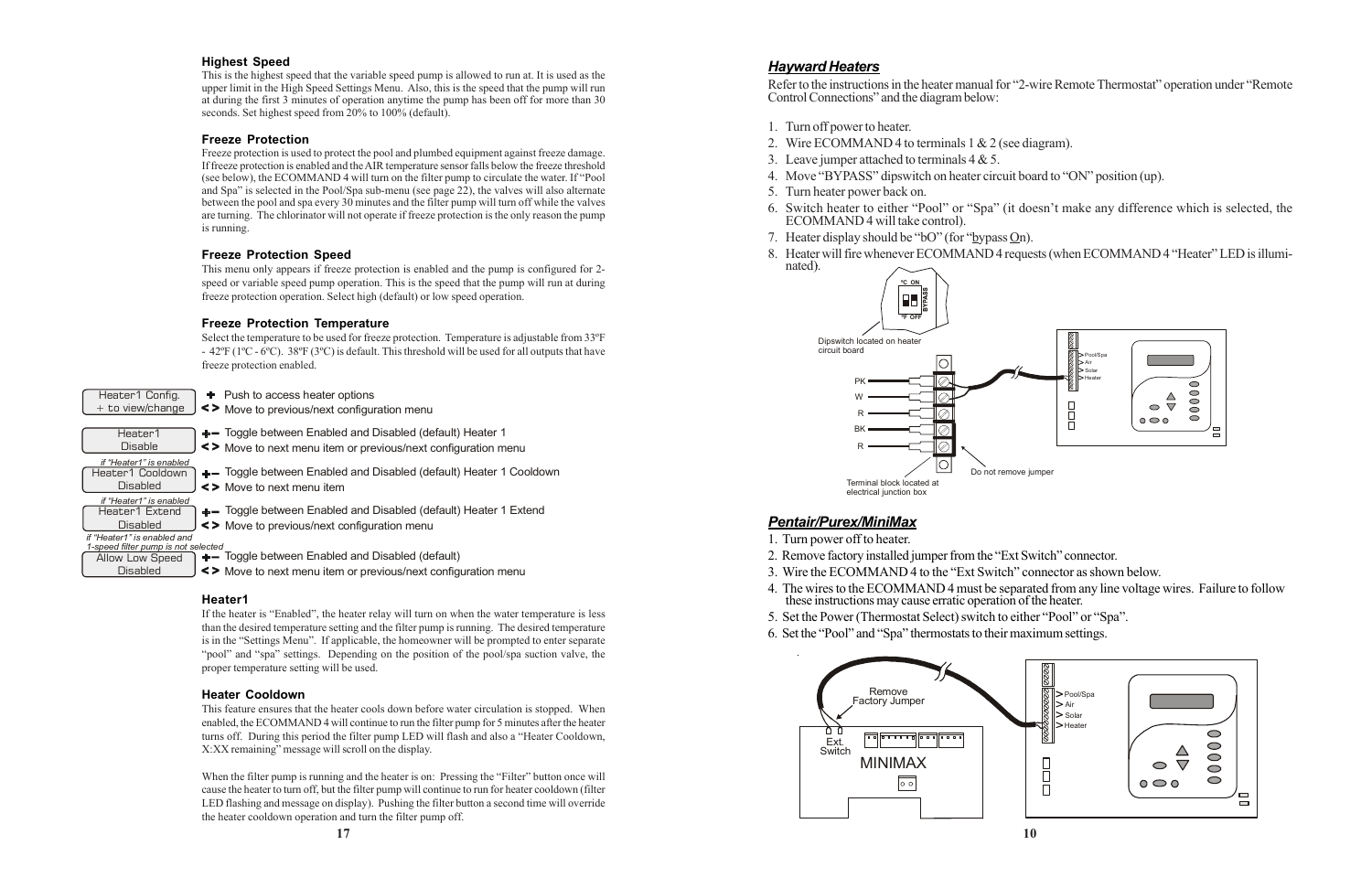#### *Hayward Heaters*

Refer to the instructions in the heater manual for "2-wire Remote Thermostat" operation under "Remote Control Connections" and the diagram below:

- 1. Turn off power to heater.
- 2. Wire ECOMMAND 4 to terminals 1 & 2 (see diagram).
- 3. Leave jumper attached to terminals  $4 & 5$ .
- 4. Move "BYPASS" dipswitch on heater circuit board to "ON" position (up).
- 5. Turn heater power back on.
- ECOMMAND 4 will take control).
- 7. Heater display should be "bO" (for "bypass On).
- nated).

6. Switch heater to either "Pool" or "Spa" (it doesn't make any difference which is selected, the

8. Heater will fire whenever ECOMMAND 4 requests (when ECOMMAND 4 "Heater" LED is illumi-

#### *Pentair/Purex/MiniMax*

4. The wires to the ECOMMAND 4 must be separated from any line voltage wires. Failure to follow

- 1. Turn power off to heater.
- 2. Remove factory installed jumper from the "Ext Switch" connector.
- 3. Wire the ECOMMAND 4 to the "Ext Switch" connector as shown below.
- these instructions may cause erratic operation of the heater.
- 5. Set the Power (Thermostat Select) switch to either "Pool" or "Spa".
- 6. Set the "Pool" and "Spa" thermostats to their maximum settings.

#### **Highest Speed**

This is the highest speed that the variable speed pump is allowed to run at. It is used as the upper limit in the High Speed Settings Menu. Also, this is the speed that the pump will run at during the first 3 minutes of operation anytime the pump has been off for more than 30 seconds. Set highest speed from 20% to 100% (default).

#### **Freeze Protection**

- + Push to access heater options
- Move to previous/next configuration menu
- + Toggle between Enabled and Disabled (default) Heater 1
- Move to next menu item or previous/next configuration menu

+- Toggle between Enabled and Disabled (default) Heater 1 Cooldown Move to next menu item

+- Toggle between Enabled and Disabled (default) Heater 1 Extend Move to previous/next configuration menu

+- Toggle between Enabled and Disabled (default)

Freeze protection is used to protect the pool and plumbed equipment against freeze damage. If freeze protection is enabled and the AIR temperature sensor falls below the freeze threshold (see below), the ECOMMAND 4 will turn on the filter pump to circulate the water. If "Pool and Spa" is selected in the Pool/Spa sub-menu (see page 22), the valves will also alternate between the pool and spa every 30 minutes and the filter pump will turn off while the valves are turning. The chlorinator will not operate if freeze protection is the only reason the pump is running.

#### **Freeze Protection Speed**

This menu only appears if freeze protection is enabled and the pump is configured for 2 speed or variable speed pump operation. This is the speed that the pump will run at during freeze protection operation. Select high (default) or low speed operation.

#### **Freeze Protection Temperature**

Select the temperature to be used for freeze protection. Temperature is adjustable from 33ºF - 42ºF (1ºC - 6ºC). 38ºF (3ºC) is default. This threshold will be used for all outputs that have freeze protection enabled.

Heater1 Config.  $+$  to view/change Heater1 Disable Heater1 Cooldown **Disabled** Heater1 Extend **Disabled** *if "Heater1" is enabled if "Heater1" is enabled* Allow Low Speed **Disabled** *if "Heater1" is enabled and 1-speed filter pump is not selected*

Move to next menu item or previous/next configuration menu

#### **Heater1**

If the heater is "Enabled", the heater relay will turn on when the water temperature is less than the desired temperature setting and the filter pump is running. The desired temperature is in the "Settings Menu". If applicable, the homeowner will be prompted to enter separate "pool" and "spa" settings. Depending on the position of the pool/spa suction valve, the proper temperature setting will be used.

#### **Heater Cooldown**

This feature ensures that the heater cools down before water circulation is stopped. When enabled, the ECOMMAND 4 will continue to run the filter pump for 5 minutes after the heater turns off. During this period the filter pump LED will flash and also a "Heater Cooldown, X:XX remaining" message will scroll on the display.

When the filter pump is running and the heater is on: Pressing the "Filter" button once will cause the heater to turn off, but the filter pump will continue to run for heater cooldown (filter LED flashing and message on display). Pushing the filter button a second time will override the heater cooldown operation and turn the filter pump off.



Do not remove jumper







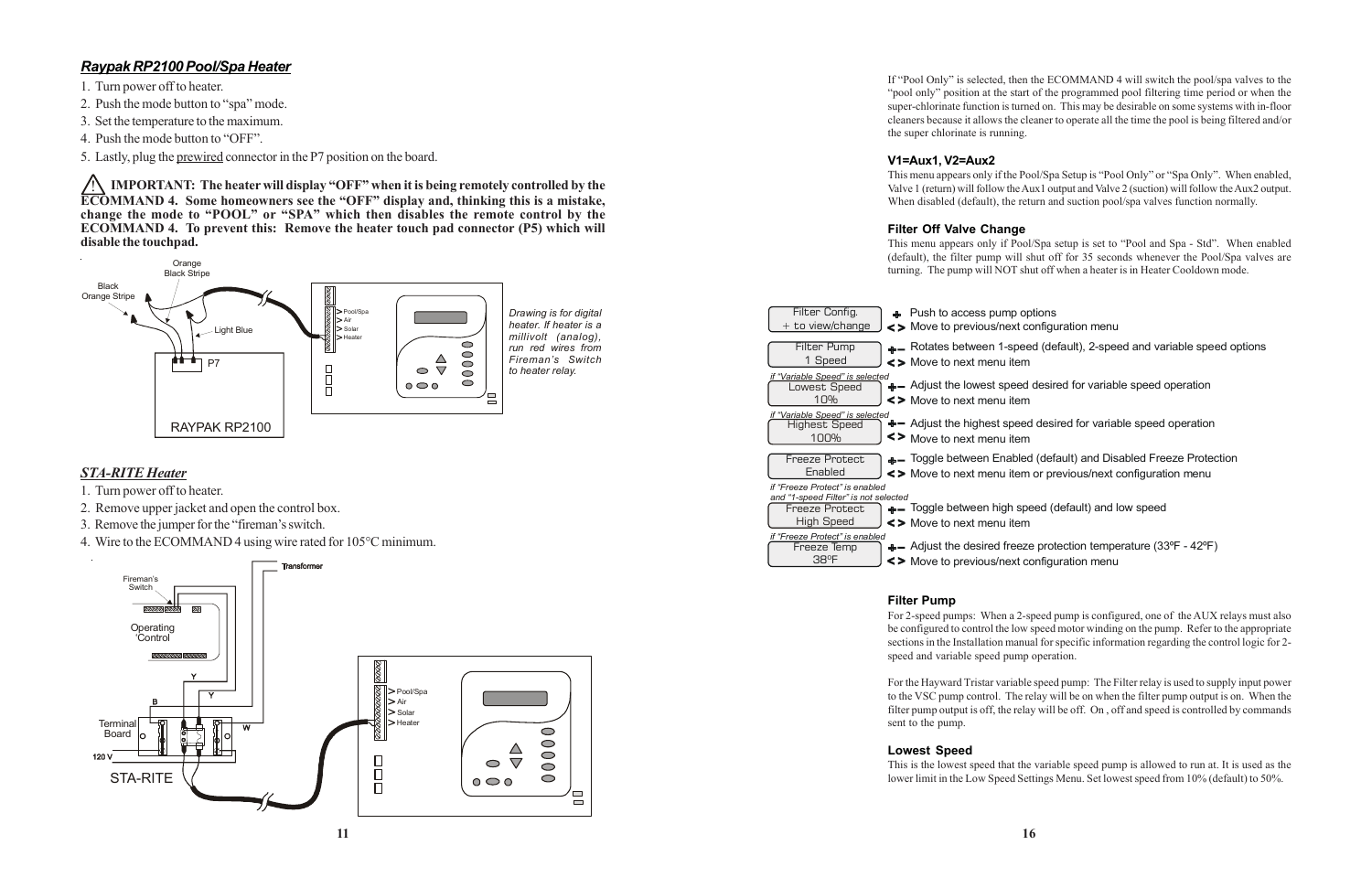#### *Raypak RP2100 Pool/Spa Heater*

- 1. Turn power off to heater.
- 2. Push the mode button to "spa" mode.
- 3. Set the temperature to the maximum.
- 4. Push the mode button to "OFF".
- 5. Lastly, plug the prewired connector in the P7 position on the board.

! **IMPORTANT: The heater will display "OFF" when it is being remotely controlled by the ECOMMAND 4. Some homeowners see the "OFF" display and, thinking this is a mistake, change the mode to "POOL" or "SPA" which then disables the remote control by the ECOMMAND 4. To prevent this: Remove the heater touch pad connector (P5) which will disable the touchpad.**

#### *STA-RITE Heater*

- 1. Turn power off to heater.
- 2. Remove upper jacket and open the control box.
- 3. Remove the jumper for the "fireman's switch.
- 4. Wire to the ECOMMAND 4 using wire rated for 105°C minimum.





If "Pool Only" is selected, then the ECOMMAND 4 will switch the pool/spa valves to the "pool only" position at the start of the programmed pool filtering time period or when the super-chlorinate function is turned on. This may be desirable on some systems with in-floor cleaners because it allows the cleaner to operate all the time the pool is being filtered and/or the super chlorinate is running.

#### **V1=Aux1, V2=Aux2**

This menu appears only if the Pool/Spa Setup is "Pool Only" or "Spa Only". When enabled, Valve 1 (return) will follow the Aux1 output and Valve 2 (suction) will follow the Aux2 output. When disabled (default), the return and suction pool/spa valves function normally.

#### **Filter Off Valve Change**

This menu appears only if Pool/Spa setup is set to "Pool and Spa - Std". When enabled (default), the filter pump will shut off for 35 seconds whenever the Pool/Spa valves are turning. The pump will NOT shut off when a heater is in Heater Cooldown mode.

- np options
- ext configuration menu
- -speed (default), 2-speed and variable speed options item
- peed desired for variable speed operation item
- speed desired for variable speed operation item
- abled (default) and Disabled Freeze Protection item or previous/next configuration menu
- In speed (default) and low speed item
- freeze protection temperature (33°F 42°F) **<>** Move to previous/next configuration menu

| Filter Config.                                                                                         | $+$ Push to access pur                              |
|--------------------------------------------------------------------------------------------------------|-----------------------------------------------------|
| + to view/change                                                                                       | <> Move to previous/n                               |
| Filter Pump                                                                                            | +- Rotates between 1-                               |
| 1 Speed                                                                                                | <> Move to next menu                                |
| if "Variable Speed" is selected<br>owest Speed<br>10%                                                  | $+$ - Adjust the lowest sp<br><> Move to next menu  |
| if "Variable Speed" is selected                                                                        | $+$ - Adjust the highest s                          |
| <b>Highest Speed</b>                                                                                   | <>                                                  |
| 100%                                                                                                   | Move to next menu                                   |
| <b>Freeze Protect</b>                                                                                  | $+$ - Toggle between En                             |
| Enabled                                                                                                | <> Move to next menu                                |
| if "Freeze Protect" is enabled<br>and "1-speed Filter" is not selected<br>Freeze Protect<br>High Speed | $+$ - Toggle between hig<br><> Move to next menu    |
| if "Freeze Protect" is enabled<br>Freeze Temp<br>38°F                                                  | $+$ - Adjust the desired f<br><> Move to previous/n |

#### **Filter Pump**

For 2-speed pumps: When a 2-speed pump is configured, one of the AUX relays must also be configured to control the low speed motor winding on the pump. Refer to the appropriate sections in the Installation manual for specific information regarding the control logic for 2 speed and variable speed pump operation.

For the Hayward Tristar variable speed pump: The Filter relay is used to supply input power to the VSC pump control. The relay will be on when the filter pump output is on. When the filter pump output is off, the relay will be off. On , off and speed is controlled by commands sent to the pump.

#### **Lowest Speed**

This is the lowest speed that the variable speed pump is allowed to run at. It is used as the lower limit in the Low Speed Settings Menu. Set lowest speed from 10% (default) to 50%.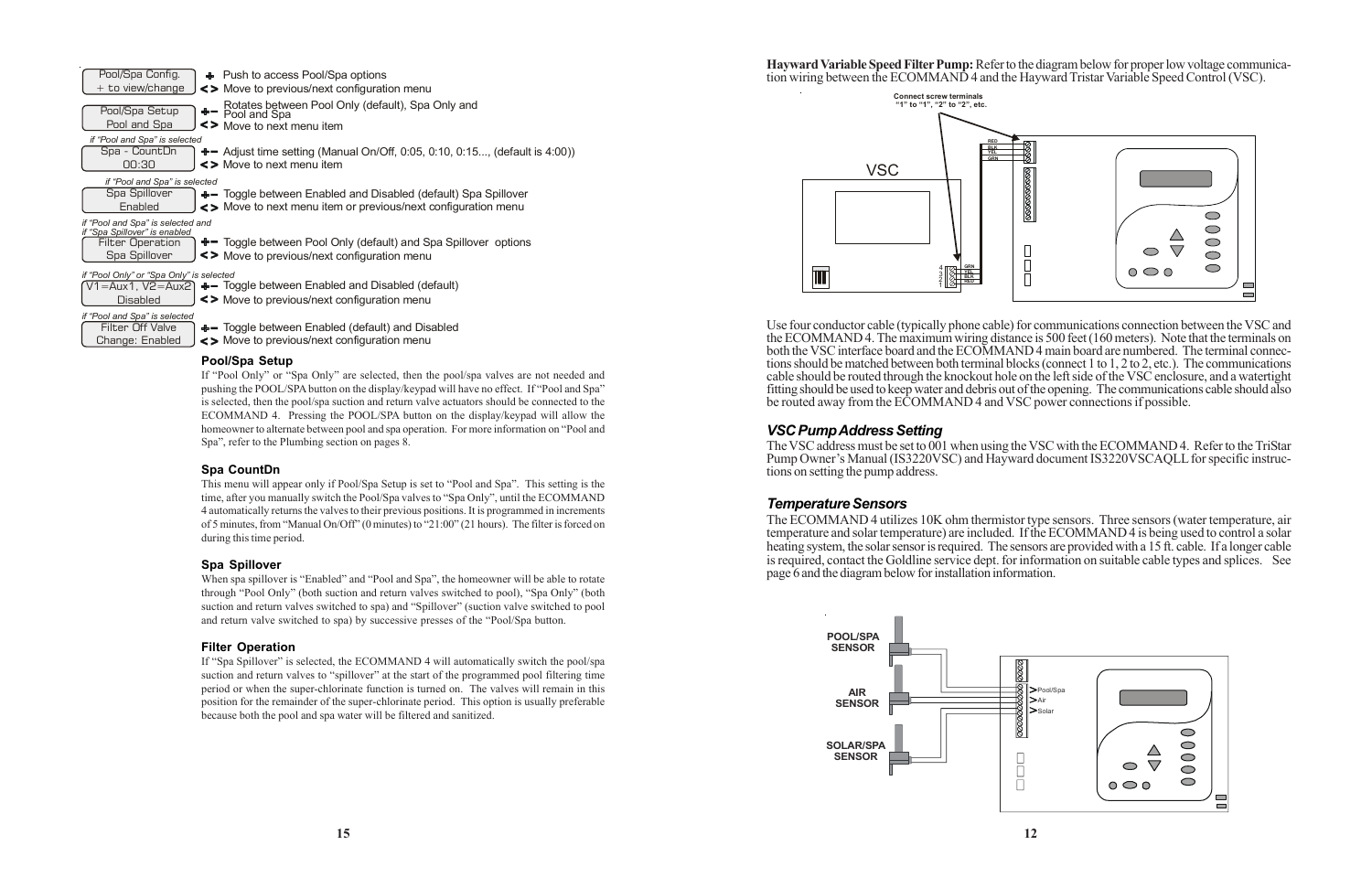**Hayward Variable Speed Filter Pump:** Refer to the diagram below for proper low voltage communication wiring between the ECOMMAND 4 and the Hayward Tristar Variable Speed Control (VSC).

Use four conductor cable (typically phone cable) for communications connection between the VSC and the ECOMMAND 4. The maximum wiring distance is 500 feet (160 meters). Note that the terminals on both the VSC interface board and the ECOMMAND 4 main board are numbered. The terminal connections should be matched between both terminal blocks (connect 1 to 1, 2 to 2, etc.). The communications cable should be routed through the knockout hole on the left side of the VSC enclosure, and a watertight fitting should be used to keep water and debris out of the opening. The communications cable should also be routed away from the ECOMMAND 4 and VSC power connections if possible.

#### *VSC Pump Address Setting*

The VSC address must be set to 001 when using the VSC with the ECOMMAND 4. Refer to the TriStar Pump Owner's Manual (IS3220VSC) and Hayward document IS3220VSCAQLL for specific instructions on setting the pump address.

#### *Temperature Sensors*

The ECOMMAND 4 utilizes 10K ohm thermistor type sensors. Three sensors (water temperature, air temperature and solar temperature) are included. If the ECOMMAND 4 is being used to control a solar heating system, the solar sensor is required. The sensors are provided with a 15 ft. cable. If a longer cable is required, contact the Goldline service dept. for information on suitable cable types and splices. See page 6 and the diagram below for installation information.

When spa spillover is "Enabled" and "Pool and Spa", the homeowner will be able to rotate through "Pool Only" (both suction and return valves switched to pool), "Spa Only" (both suction and return valves switched to spa) and "Spillover" (suction valve switched to pool and return valve switched to spa) by successive presses of the "Pool/Spa button.



#### **Pool/Spa Setup**

If "Pool Only" or "Spa Only" are selected, then the pool/spa valves are not needed and pushing the POOL/SPA button on the display/keypad will have no effect. If "Pool and Spa" is selected, then the pool/spa suction and return valve actuators should be connected to the ECOMMAND 4. Pressing the POOL/SPA button on the display/keypad will allow the homeowner to alternate between pool and spa operation. For more information on "Pool and Spa", refer to the Plumbing section on pages 8.

#### **Spa CountDn**

This menu will appear only if Pool/Spa Setup is set to "Pool and Spa". This setting is the time, after you manually switch the Pool/Spa valves to "Spa Only", until the ECOMMAND 4 automatically returns the valves to their previous positions. It is programmed in increments of 5 minutes, from "Manual On/Off" (0 minutes) to "21:00" (21 hours). The filter is forced on during this time period.

#### **Spa Spillover**

#### **Filter Operation**

If "Spa Spillover" is selected, the ECOMMAND 4 will automatically switch the pool/spa suction and return valves to "spillover" at the start of the programmed pool filtering time period or when the super-chlorinate function is turned on. The valves will remain in this position for the remainder of the super-chlorinate period. This option is usually preferable because both the pool and spa water will be filtered and sanitized.